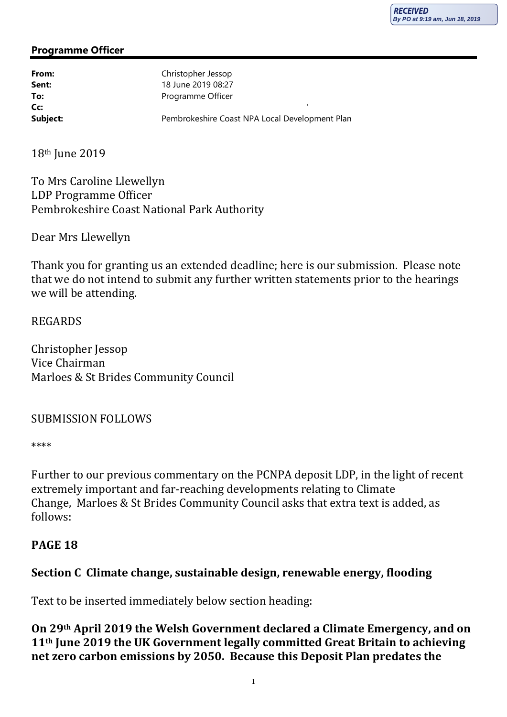#### Programme Officer

| From:    | Christopher Jessop                             |
|----------|------------------------------------------------|
| Sent:    | 18 June 2019 08:27                             |
| To:      | Programme Officer                              |
| Cc       |                                                |
| Subject: | Pembrokeshire Coast NPA Local Development Plan |

18th June 2019

To Mrs Caroline Llewellyn LDP Programme Officer Pembrokeshire Coast National Park Authority

Dear Mrs Llewellyn

Thank you for granting us an extended deadline; here is our submission. Please note that we do not intend to submit any further written statements prior to the hearings we will be attending.

### REGARDS

Christopher Jessop Vice Chairman Marloes & St Brides Community Council

#### SUBMISSION FOLLOWS

\*\*\*\*

Further to our previous commentary on the PCNPA deposit LDP, in the light of recent extremely important and far-reaching developments relating to Climate Change, Marloes & St Brides Community Council asks that extra text is added, as follows:

## PAGE 18

# Section C Climate change, sustainable design, renewable energy, flooding

Text to be inserted immediately below section heading:

On 29th April 2019 the Welsh Government declared a Climate Emergency, and on 11th June 2019 the UK Government legally committed Great Britain to achieving net zero carbon emissions by 2050. Because this Deposit Plan predates the